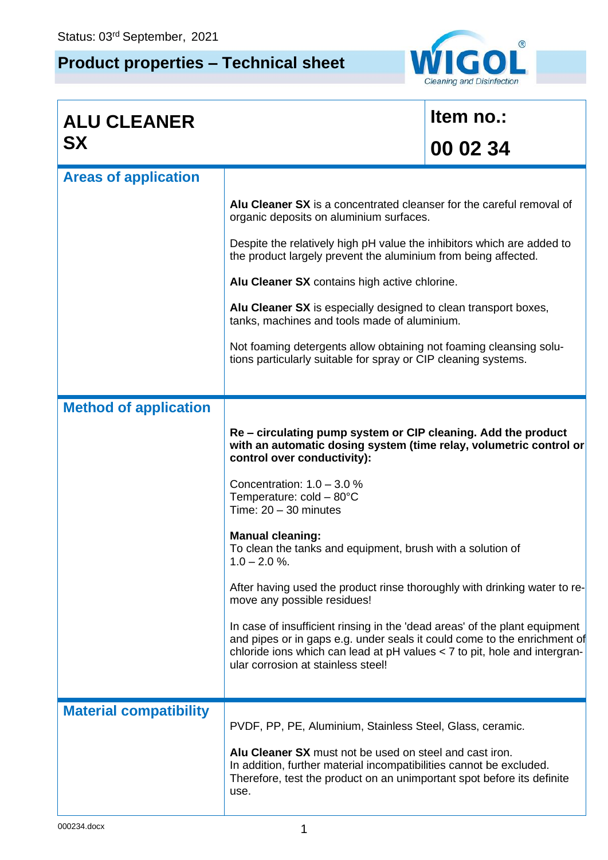## **Product properties – Technical sheet**



| <b>ALU CLEANER</b>            |                                                                                                                                                                                                                                                                           | Item no.: |  |  |
|-------------------------------|---------------------------------------------------------------------------------------------------------------------------------------------------------------------------------------------------------------------------------------------------------------------------|-----------|--|--|
| <b>SX</b>                     |                                                                                                                                                                                                                                                                           | 00 02 34  |  |  |
| <b>Areas of application</b>   |                                                                                                                                                                                                                                                                           |           |  |  |
|                               | Alu Cleaner SX is a concentrated cleanser for the careful removal of<br>organic deposits on aluminium surfaces.                                                                                                                                                           |           |  |  |
|                               | Despite the relatively high pH value the inhibitors which are added to<br>the product largely prevent the aluminium from being affected.                                                                                                                                  |           |  |  |
|                               | Alu Cleaner SX contains high active chlorine.                                                                                                                                                                                                                             |           |  |  |
|                               | Alu Cleaner SX is especially designed to clean transport boxes,<br>tanks, machines and tools made of aluminium.                                                                                                                                                           |           |  |  |
|                               | Not foaming detergents allow obtaining not foaming cleansing solu-<br>tions particularly suitable for spray or CIP cleaning systems.                                                                                                                                      |           |  |  |
|                               |                                                                                                                                                                                                                                                                           |           |  |  |
| <b>Method of application</b>  |                                                                                                                                                                                                                                                                           |           |  |  |
|                               | Re – circulating pump system or CIP cleaning. Add the product<br>with an automatic dosing system (time relay, volumetric control or<br>control over conductivity):                                                                                                        |           |  |  |
|                               | Concentration: $1.0 - 3.0 %$<br>Temperature: $cold - 80^{\circ}C$<br>Time: $20 - 30$ minutes                                                                                                                                                                              |           |  |  |
|                               | <b>Manual cleaning:</b><br>To clean the tanks and equipment, brush with a solution of<br>$1.0 - 2.0 %$                                                                                                                                                                    |           |  |  |
|                               | After having used the product rinse thoroughly with drinking water to re-<br>move any possible residues!                                                                                                                                                                  |           |  |  |
|                               | In case of insufficient rinsing in the 'dead areas' of the plant equipment<br>and pipes or in gaps e.g. under seals it could come to the enrichment of<br>chloride ions which can lead at pH values < 7 to pit, hole and intergran-<br>ular corrosion at stainless steel! |           |  |  |
| <b>Material compatibility</b> |                                                                                                                                                                                                                                                                           |           |  |  |
|                               | PVDF, PP, PE, Aluminium, Stainless Steel, Glass, ceramic.                                                                                                                                                                                                                 |           |  |  |
|                               | Alu Cleaner SX must not be used on steel and cast iron.<br>In addition, further material incompatibilities cannot be excluded.<br>Therefore, test the product on an unimportant spot before its definite<br>use.                                                          |           |  |  |